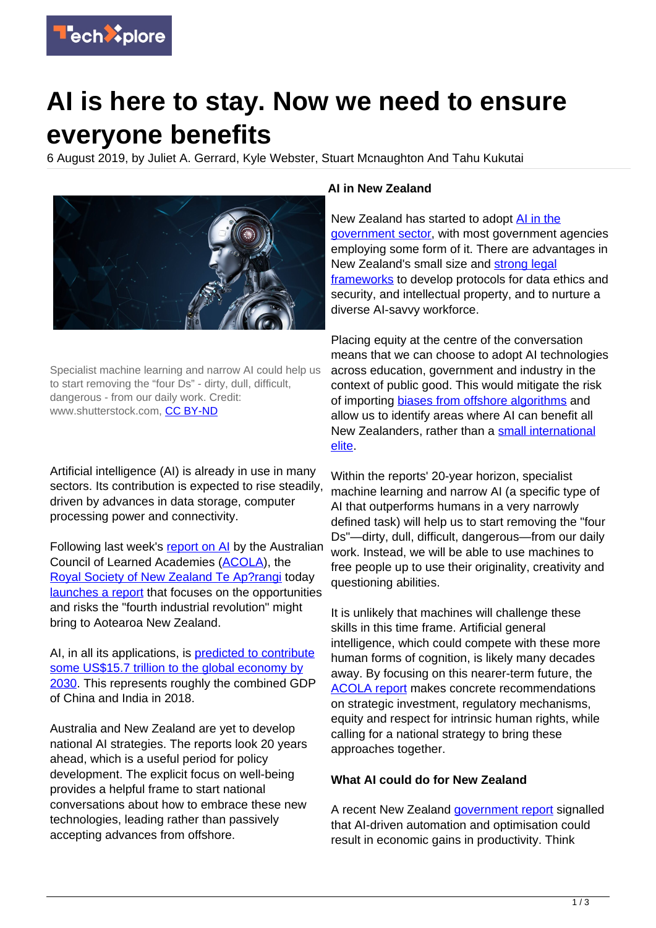

## **AI is here to stay. Now we need to ensure everyone benefits**

6 August 2019, by Juliet A. Gerrard, Kyle Webster, Stuart Mcnaughton And Tahu Kukutai



Specialist machine learning and narrow AI could help us to start removing the "four Ds" - dirty, dull, difficult, dangerous - from our daily work. Credit: www.shutterstock.com, [CC BY-ND](http://creativecommons.org/licenses/by-nd/4.0/)

Artificial intelligence (AI) is already in use in many sectors. Its contribution is expected to rise steadily, driven by advances in data storage, computer processing power and connectivity.

Following last week's [report on AI](https://acola.org/hs4-artificial-intelligence-australia/) by the Australian Council of Learned Academies ([ACOLA](https://acola.org/)), the [Royal Society of New Zealand Te Ap?rangi](https://royalsociety.org.nz/) today [launches a report](https://royalsociety.org.nz/AI) that focuses on the opportunities and risks the "fourth industrial revolution" might bring to Aotearoa New Zealand.

AI, in all its applications, is [predicted to contribute](https://www.pwc.com/gx/en/issues/data-and-analytics/publications/artificial-intelligence-study.html) [some US\\$15.7 trillion to the global economy by](https://www.pwc.com/gx/en/issues/data-and-analytics/publications/artificial-intelligence-study.html) [2030.](https://www.pwc.com/gx/en/issues/data-and-analytics/publications/artificial-intelligence-study.html) This represents roughly the combined GDP of China and India in 2018.

Australia and New Zealand are yet to develop national AI strategies. The reports look 20 years ahead, which is a useful period for policy development. The explicit focus on well-being provides a helpful frame to start national conversations about how to embrace these new technologies, leading rather than passively accepting advances from offshore.

## **AI in New Zealand**

New Zealand has started to adopt [AI in the](https://www.data.govt.nz/assets/Uploads/Algorithm-Assessment-Report-Oct-2018.pdf) [government sector,](https://www.data.govt.nz/assets/Uploads/Algorithm-Assessment-Report-Oct-2018.pdf) with most government agencies employing some form of it. There are advantages in New Zealand's small size and [strong legal](https://acola.org/hs4-artificial-intelligence-australia/) [frameworks](https://acola.org/hs4-artificial-intelligence-australia/) to develop protocols for data ethics and security, and intellectual property, and to nurture a diverse AI-savvy workforce.

Placing equity at the centre of the conversation means that we can choose to adopt AI technologies across education, government and industry in the context of public good. This would mitigate the risk of importing [biases from offshore algorithms](https://www.elsevier.com/connect/ethics-in-ai-are-algorithms-suppressing-us) and allow us to identify areas where AI can benefit all New Zealanders, rather than a [small international](https://acola.org/hs4-artificial-intelligence-australia/) [elite.](https://acola.org/hs4-artificial-intelligence-australia/)

Within the reports' 20-year horizon, specialist machine learning and narrow AI (a specific type of AI that outperforms humans in a very narrowly defined task) will help us to start removing the "four Ds"—dirty, dull, difficult, dangerous—from our daily work. Instead, we will be able to use machines to free people up to use their originality, creativity and questioning abilities.

It is unlikely that machines will challenge these skills in this time frame. Artificial general intelligence, which could compete with these more human forms of cognition, is likely many decades away. By focusing on this nearer-term future, the [ACOLA report](https://acola.org/hs4-artificial-intelligence-australia/) makes concrete recommendations on strategic investment, regulatory mechanisms, equity and respect for intrinsic human rights, while calling for a national strategy to bring these approaches together.

## **What AI could do for New Zealand**

A recent New Zealand [government report](https://www.mbie.govt.nz/business-and-employment/economic-development/industry-policy/) signalled that AI-driven automation and optimisation could result in economic gains in productivity. Think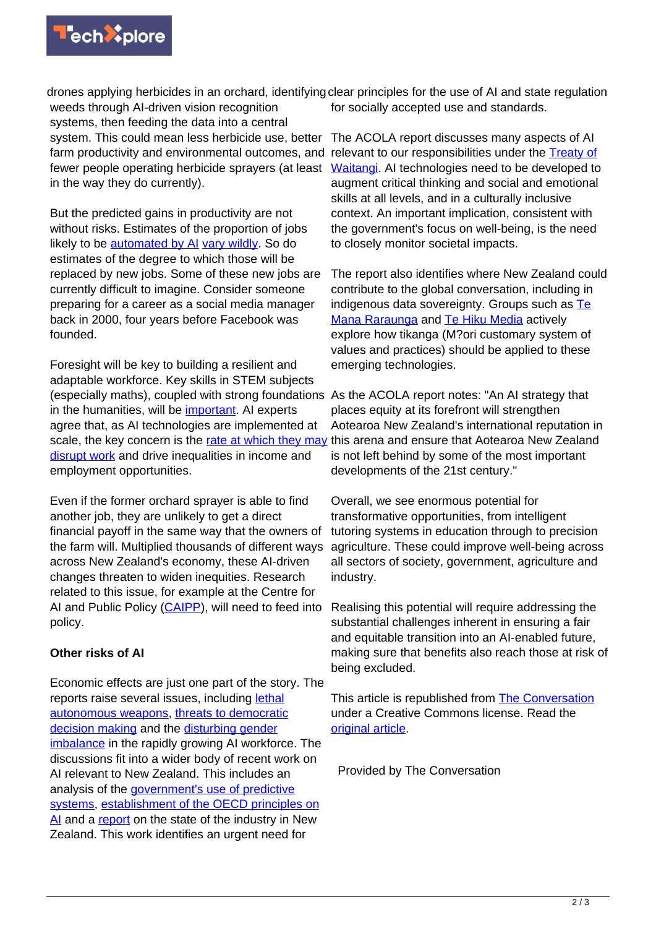

weeds through AI-driven vision recognition systems, then feeding the data into a central system. This could mean less herbicide use, better The ACOLA report discusses many aspects of AI farm productivity and environmental outcomes, and relevant to our responsibilities under the [Treaty of](https://nzhistory.govt.nz/politics/treaty-of-waitangi) fewer people operating herbicide sprayers (at least in the way they do currently).

But the predicted gains in productivity are not without risks. Estimates of the proportion of jobs likely to be [automated by AI](https://www.oxfordmartin.ox.ac.uk/publications/the-future-of-employment/) [vary wildly](https://www.oecd-ilibrary.org/employment/automation-skills-use-and-training_2e2f4eea-en). So do estimates of the degree to which those will be replaced by new jobs. Some of these new jobs are currently difficult to imagine. Consider someone preparing for a career as a social media manager back in 2000, four years before Facebook was founded.

Foresight will be key to building a resilient and adaptable workforce. Key skills in STEM subjects (especially maths), coupled with strong foundations As the ACOLA report notes: "An AI strategy that in the humanities, will be *important*. AI experts agree that, as AI technologies are implemented at scale, the key concern is the *rate at which they may* this arena and ensure that Aotearoa New Zealand [disrupt work](https://acola.org/hs4-artificial-intelligence-australia/) and drive inequalities in income and employment opportunities.

Even if the former orchard sprayer is able to find another job, they are unlikely to get a direct financial payoff in the same way that the owners of the farm will. Multiplied thousands of different ways across New Zealand's economy, these AI-driven changes threaten to widen inequities. Research related to this issue, for example at the Centre for AI and Public Policy [\(CAIPP](https://www.otago.ac.nz/caipp/index.html)), will need to feed into policy.

## **Other risks of AI**

Economic effects are just one part of the story. The reports raise several issues, including [lethal](https://futureoflife.org/lethal-autonomous-weapons-pledge/?cn-reloaded=1) [autonomous weapons,](https://futureoflife.org/lethal-autonomous-weapons-pledge/?cn-reloaded=1) [threats to democratic](https://www.theatlantic.com/magazine/archive/2018/10/yuval-noah-harari-technology-tyranny/568330/) [decision making](https://www.theatlantic.com/magazine/archive/2018/10/yuval-noah-harari-technology-tyranny/568330/) and the [disturbing gender](https://www.weforum.org/agenda/2019/06/this-is-why-ai-has-a-gender-problem/) [imbalance](https://www.weforum.org/agenda/2019/06/this-is-why-ai-has-a-gender-problem/) in the rapidly growing AI workforce. The discussions fit into a wider body of recent work on AI relevant to New Zealand. This includes an analysis of the [government's use of predictive](https://www.cs.otago.ac.nz/research/ai/AI-Law/NZLF%20report.pdf) [systems,](https://www.cs.otago.ac.nz/research/ai/AI-Law/NZLF%20report.pdf) [establishment of the OECD principles on](http://www.oecd.org/going-digital/ai/principles/) [AI](http://www.oecd.org/going-digital/ai/principles/) and a [report](https://aiforum.org.nz/our-work/research/) on the state of the industry in New Zealand. This work identifies an urgent need for

drones applying herbicides in an orchard, identifying clear principles for the use of AI and state regulation for socially accepted use and standards.

> [Waitangi](https://nzhistory.govt.nz/politics/treaty-of-waitangi). AI technologies need to be developed to augment critical thinking and social and emotional skills at all levels, and in a culturally inclusive context. An important implication, consistent with the government's focus on well-being, is the need to closely monitor societal impacts.

The report also identifies where New Zealand could contribute to the global conversation, including in indigenous data sovereignty. Groups such as [Te](https://www.temanararaunga.maori.nz/) [Mana Raraunga](https://www.temanararaunga.maori.nz/) and [Te Hiku Media](https://tehiku.nz/) actively explore how tikanga (M?ori customary system of values and practices) should be applied to these emerging technologies.

places equity at its forefront will strengthen Aotearoa New Zealand's international reputation in is not left behind by some of the most important developments of the 21st century."

Overall, we see enormous potential for transformative opportunities, from intelligent tutoring systems in education through to precision agriculture. These could improve well-being across all sectors of society, government, agriculture and industry.

Realising this potential will require addressing the substantial challenges inherent in ensuring a fair and equitable transition into an AI-enabled future, making sure that benefits also reach those at risk of being excluded.

This article is republished from [The Conversation](http://theconversation.com) under a Creative Commons license. Read the [original article](https://theconversation.com/ai-is-here-to-stay-now-we-need-to-ensure-everyone-benefits-121175).

Provided by The Conversation